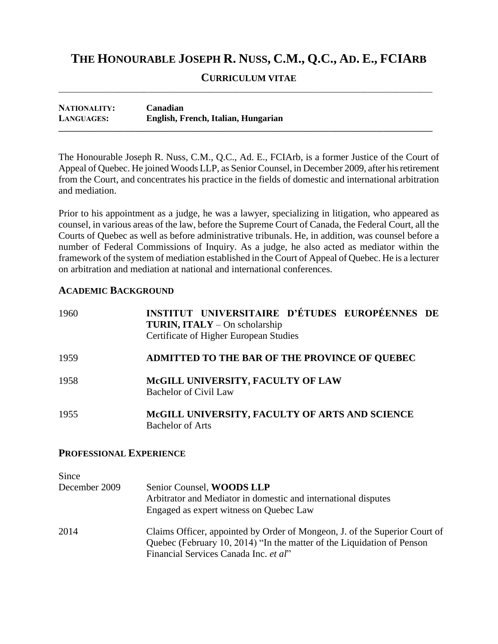# **THE HONOURABLE JOSEPH R. NUSS, C.M., Q.C., AD. E., FCIARB**

#### **CURRICULUM VITAE**  $\overline{\phantom{a}}$  , and the contribution of the contribution of the contribution of the contribution of the contribution of the contribution of the contribution of the contribution of the contribution of the contribution of the

**NATIONALITY: Canadian LANGUAGES: English, French, Italian, Hungarian \_\_\_\_\_\_\_\_\_\_\_\_\_\_\_\_\_\_\_\_\_\_\_\_\_\_\_\_\_\_\_\_\_\_\_\_\_\_\_\_\_\_\_\_\_\_\_\_\_\_\_\_\_\_\_\_\_\_\_\_\_\_\_\_\_\_\_\_\_\_\_\_\_\_\_\_\_\_\_\_\_\_\_\_\_\_\_\_\_\_\_\_**

The Honourable Joseph R. Nuss, C.M., Q.C., Ad. E., FCIArb, is a former Justice of the Court of Appeal of Quebec. He joined Woods LLP, as Senior Counsel, in December 2009, after his retirement from the Court, and concentrates his practice in the fields of domestic and international arbitration and mediation.

Prior to his appointment as a judge, he was a lawyer, specializing in litigation, who appeared as counsel, in various areas of the law, before the Supreme Court of Canada, the Federal Court, all the Courts of Quebec as well as before administrative tribunals. He, in addition, was counsel before a number of Federal Commissions of Inquiry. As a judge, he also acted as mediator within the framework of the system of mediation established in the Court of Appeal of Quebec. He is a lecturer on arbitration and mediation at national and international conferences.

# **ACADEMIC BACKGROUND**

| 1960 | INSTITUT UNIVERSITAIRE D'ÉTUDES EUROPÉENNES DE<br>TURIN, ITALY - On scholarship<br>Certificate of Higher European Studies |
|------|---------------------------------------------------------------------------------------------------------------------------|
| 1959 | ADMITTED TO THE BAR OF THE PROVINCE OF QUEBEC                                                                             |
| 1958 | McGILL UNIVERSITY, FACULTY OF LAW<br><b>Bachelor of Civil Law</b>                                                         |
| 1955 | McGILL UNIVERSITY, FACULTY OF ARTS AND SCIENCE<br><b>Bachelor of Arts</b>                                                 |

## **PROFESSIONAL EXPERIENCE**

| Since         |                                                                                                                                                                                               |
|---------------|-----------------------------------------------------------------------------------------------------------------------------------------------------------------------------------------------|
| December 2009 | Senior Counsel, WOODS LLP<br>Arbitrator and Mediator in domestic and international disputes<br>Engaged as expert witness on Quebec Law                                                        |
| 2014          | Claims Officer, appointed by Order of Mongeon, J. of the Superior Court of<br>Quebec (February 10, 2014) "In the matter of the Liquidation of Penson<br>Financial Services Canada Inc. et al" |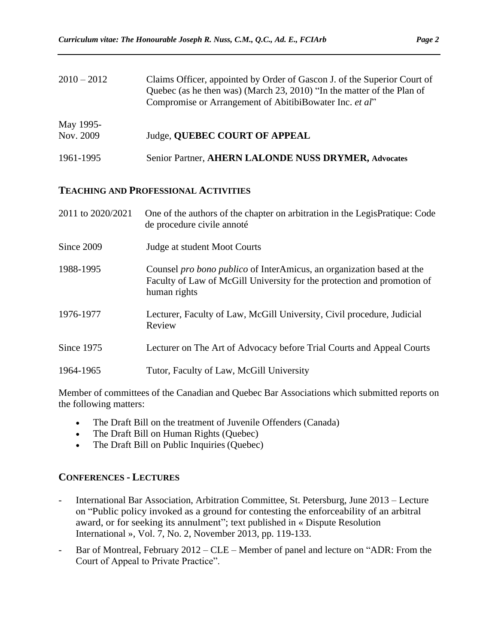| $2010 - 2012$          | Claims Officer, appointed by Order of Gascon J. of the Superior Court of<br>Quebec (as he then was) (March 23, 2010) "In the matter of the Plan of<br>Compromise or Arrangement of AbitibiBowater Inc. et al" |
|------------------------|---------------------------------------------------------------------------------------------------------------------------------------------------------------------------------------------------------------|
| May 1995-<br>Nov. 2009 | Judge, QUEBEC COURT OF APPEAL                                                                                                                                                                                 |
| 1961-1995              | Senior Partner, AHERN LALONDE NUSS DRYMER, Advocates                                                                                                                                                          |

#### **TEACHING AND PROFESSIONAL ACTIVITIES**

| 2011 to 2020/2021 | One of the authors of the chapter on arbitration in the LegisPratique: Code<br>de procedure civile annoté                                                               |
|-------------------|-------------------------------------------------------------------------------------------------------------------------------------------------------------------------|
| Since 2009        | Judge at student Moot Courts                                                                                                                                            |
| 1988-1995         | Counsel <i>pro bono publico</i> of InterAmicus, an organization based at the<br>Faculty of Law of McGill University for the protection and promotion of<br>human rights |
| 1976-1977         | Lecturer, Faculty of Law, McGill University, Civil procedure, Judicial<br>Review                                                                                        |
| Since 1975        | Lecturer on The Art of Advocacy before Trial Courts and Appeal Courts                                                                                                   |
| 1964-1965         | Tutor, Faculty of Law, McGill University                                                                                                                                |

Member of committees of the Canadian and Quebec Bar Associations which submitted reports on the following matters:

- The Draft Bill on the treatment of Juvenile Offenders (Canada)
- The Draft Bill on Human Rights (Quebec)
- The Draft Bill on Public Inquiries (Quebec)

#### **CONFERENCES - LECTURES**

- International Bar Association, Arbitration Committee, St. Petersburg, June 2013 Lecture on "Public policy invoked as a ground for contesting the enforceability of an arbitral award, or for seeking its annulment"; text published in « Dispute Resolution International », Vol. 7, No. 2, November 2013, pp. 119-133.
- Bar of Montreal, February 2012 CLE Member of panel and lecture on "ADR: From the Court of Appeal to Private Practice".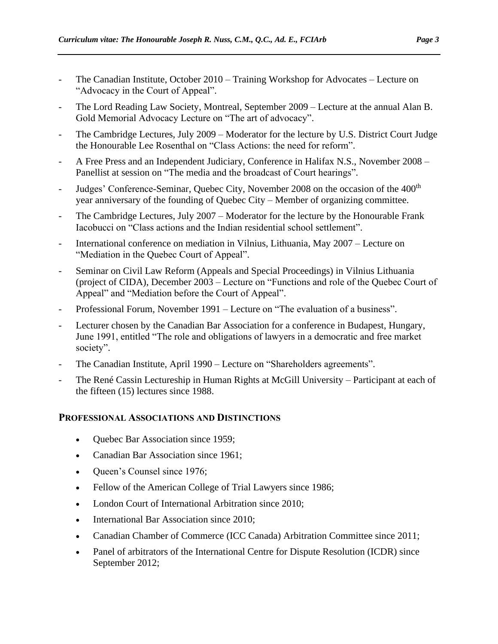- The Canadian Institute, October 2010 Training Workshop for Advocates Lecture on "Advocacy in the Court of Appeal".
- The Lord Reading Law Society, Montreal, September 2009 Lecture at the annual Alan B. Gold Memorial Advocacy Lecture on "The art of advocacy".
- The Cambridge Lectures, July 2009 Moderator for the lecture by U.S. District Court Judge the Honourable Lee Rosenthal on "Class Actions: the need for reform".
- A Free Press and an Independent Judiciary, Conference in Halifax N.S., November 2008 Panellist at session on "The media and the broadcast of Court hearings".
- Judges' Conference-Seminar, Quebec City, November 2008 on the occasion of the 400<sup>th</sup> year anniversary of the founding of Quebec City – Member of organizing committee.
- The Cambridge Lectures, July 2007 Moderator for the lecture by the Honourable Frank Iacobucci on "Class actions and the Indian residential school settlement".
- International conference on mediation in Vilnius, Lithuania, May 2007 Lecture on "Mediation in the Quebec Court of Appeal".
- Seminar on Civil Law Reform (Appeals and Special Proceedings) in Vilnius Lithuania (project of CIDA), December 2003 – Lecture on "Functions and role of the Quebec Court of Appeal" and "Mediation before the Court of Appeal".
- Professional Forum, November 1991 Lecture on "The evaluation of a business".
- Lecturer chosen by the Canadian Bar Association for a conference in Budapest, Hungary, June 1991, entitled "The role and obligations of lawyers in a democratic and free market society".
- The Canadian Institute, April 1990 Lecture on "Shareholders agreements".
- The René Cassin Lectureship in Human Rights at McGill University Participant at each of the fifteen (15) lectures since 1988.

### **PROFESSIONAL ASSOCIATIONS AND DISTINCTIONS**

- Ouebec Bar Association since 1959;
- Canadian Bar Association since 1961;
- Queen's Counsel since 1976;
- Fellow of the American College of Trial Lawyers since 1986;
- London Court of International Arbitration since 2010;
- International Bar Association since 2010;
- Canadian Chamber of Commerce (ICC Canada) Arbitration Committee since 2011;
- Panel of arbitrators of the International Centre for Dispute Resolution (ICDR) since September 2012;